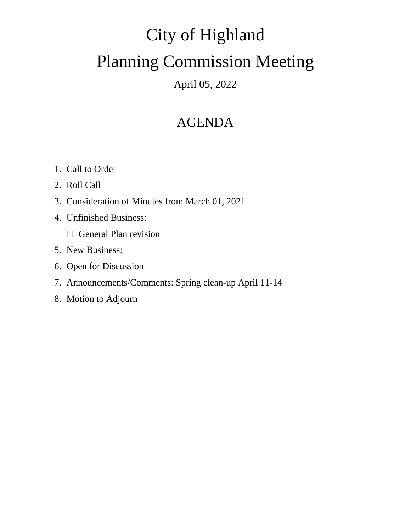# City of Highland Planning Commission Meeting

### April 05, 2022

## AGENDA

- 1. Call to Order
- 2. Roll Call
- 3. Consideration of Minutes from March 01, 2021
- 4. Unfinished Business:
	- General Plan revision
- 5. New Business:
- 6. Open for Discussion
- 7. Announcements/Comments: Spring clean-up April 11-14
- 8. Motion to Adjourn